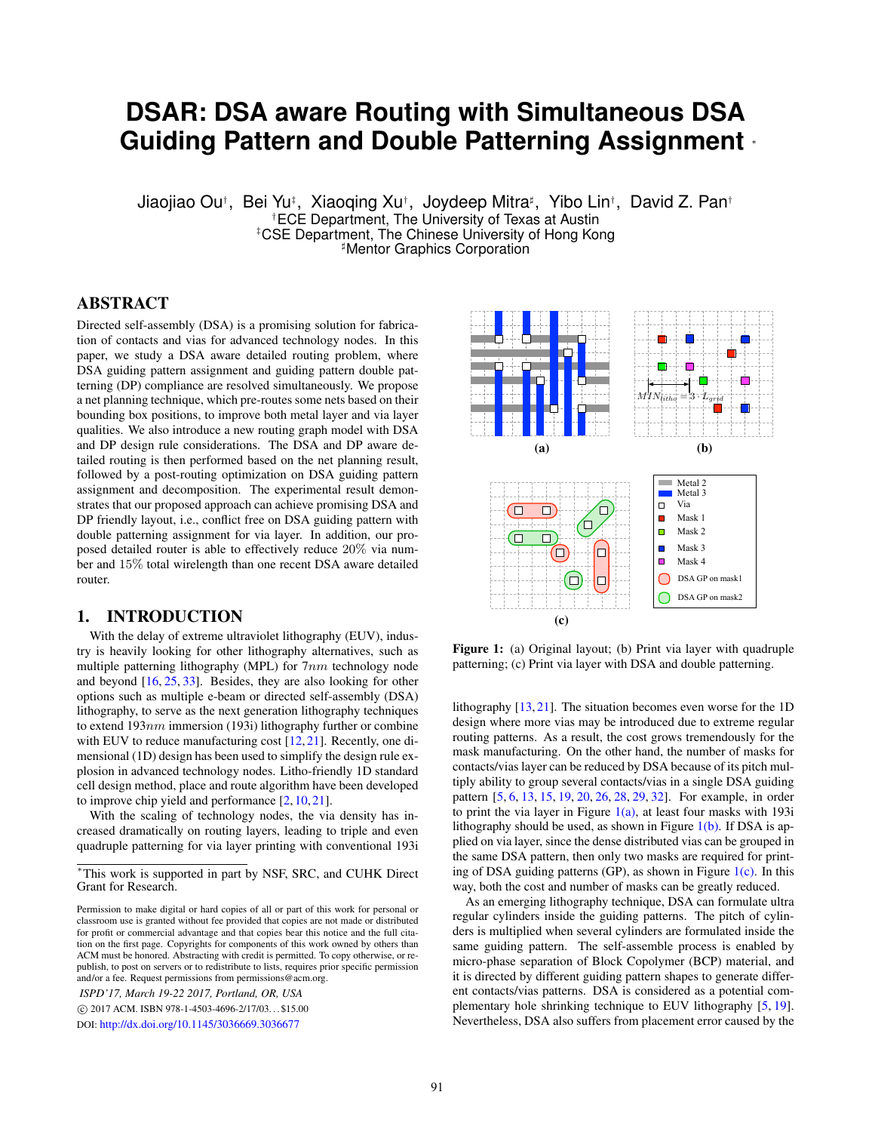# **DSAR: DSA aware Routing with Simultaneous DSA Guiding Pattern and Double Patterning Assignment** <sup>∗</sup>

Jiaojiao Ou†, Bei Yu‡, Xiaoqing Xu†, Joydeep Mitra‡, Yibo Lin†, David Z. Pan† †ECE Department, The University of Texas at Austin ‡CSE Department, The Chinese University of Hong Kong **Mentor Graphics Corporation** 

# ABSTRACT

Directed self-assembly (DSA) is a promising solution for fabrication of contacts and vias for advanced technology nodes. In this paper, we study a DSA aware detailed routing problem, where DSA guiding pattern assignment and guiding pattern double patterning (DP) compliance are resolved simultaneously. We propose a net planning technique, which pre-routes some nets based on their bounding box positions, to improve both metal layer and via layer qualities. We also introduce a new routing graph model with DSA and DP design rule considerations. The DSA and DP aware detailed routing is then performed based on the net planning result, followed by a post-routing optimization on DSA guiding pattern assignment and decomposition. The experimental result demonstrates that our proposed approach can achieve promising DSA and DP friendly layout, i.e., conflict free on DSA guiding pattern with double patterning assignment for via layer. In addition, our proposed detailed router is able to effectively reduce 20% via number and 15% total wirelength than one recent DSA aware detailed router.

# 1. INTRODUCTION

With the delay of extreme ultraviolet lithography (EUV), industry is heavily looking for other lithography alternatives, such as multiple patterning lithography (MPL) for  $7nm$  technology node and beyond [\[16,](#page-7-0) [25,](#page-7-1) [33\]](#page-7-2). Besides, they are also looking for other options such as multiple e-beam or directed self-assembly (DSA) lithography, to serve as the next generation lithography techniques to extend  $193nm$  immersion (193i) lithography further or combine with EUV to reduce manufacturing cost [\[12,](#page-7-3) [21\]](#page-7-4). Recently, one dimensional (1D) design has been used to simplify the design rule explosion in advanced technology nodes. Litho-friendly 1D standard cell design method, place and route algorithm have been developed to improve chip yield and performance [\[2,](#page-6-0) [10,](#page-7-5) [21\]](#page-7-4).

With the scaling of technology nodes, the via density has increased dramatically on routing layers, leading to triple and even quadruple patterning for via layer printing with conventional 193i

*ISPD'17, March 19-22 2017, Portland, OR, USA*

 c 2017 ACM. ISBN 978-1-4503-4696-2/17/03. . . \$15.00 DOI: <http://dx.doi.org/10.1145/3036669.3036677>

<span id="page-0-1"></span><span id="page-0-0"></span>

<span id="page-0-2"></span>Figure 1: (a) Original layout; (b) Print via layer with quadruple patterning; (c) Print via layer with DSA and double patterning.

lithography [\[13,](#page-7-6) [21\]](#page-7-4). The situation becomes even worse for the 1D design where more vias may be introduced due to extreme regular routing patterns. As a result, the cost grows tremendously for the mask manufacturing. On the other hand, the number of masks for contacts/vias layer can be reduced by DSA because of its pitch multiply ability to group several contacts/vias in a single DSA guiding pattern [\[5,](#page-6-1) [6,](#page-6-2) [13,](#page-7-6) [15,](#page-7-7) [19,](#page-7-8) [20,](#page-7-9) [26,](#page-7-10) [28,](#page-7-11) [29,](#page-7-12) [32\]](#page-7-13). For example, in order to print the via layer in Figure  $1(a)$ , at least four masks with 193i lithography should be used, as shown in Figure  $1(b)$ . If DSA is applied on via layer, since the dense distributed vias can be grouped in the same DSA pattern, then only two masks are required for printing of DSA guiding patterns (GP), as shown in Figure  $1(c)$ . In this way, both the cost and number of masks can be greatly reduced.

As an emerging lithography technique, DSA can formulate ultra regular cylinders inside the guiding patterns. The pitch of cylinders is multiplied when several cylinders are formulated inside the same guiding pattern. The self-assemble process is enabled by micro-phase separation of Block Copolymer (BCP) material, and it is directed by different guiding pattern shapes to generate different contacts/vias patterns. DSA is considered as a potential complementary hole shrinking technique to EUV lithography [\[5,](#page-6-1) [19\]](#page-7-8). Nevertheless, DSA also suffers from placement error caused by the

<sup>∗</sup>This work is supported in part by NSF, SRC, and CUHK Direct Grant for Research.

Permission to make digital or hard copies of all or part of this work for personal or classroom use is granted without fee provided that copies are not made or distributed for profit or commercial advantage and that copies bear this notice and the full citation on the first page. Copyrights for components of this work owned by others than ACM must be honored. Abstracting with credit is permitted. To copy otherwise, or republish, to post on servers or to redistribute to lists, requires prior specific permission and/or a fee. Request permissions from permissions@acm.org.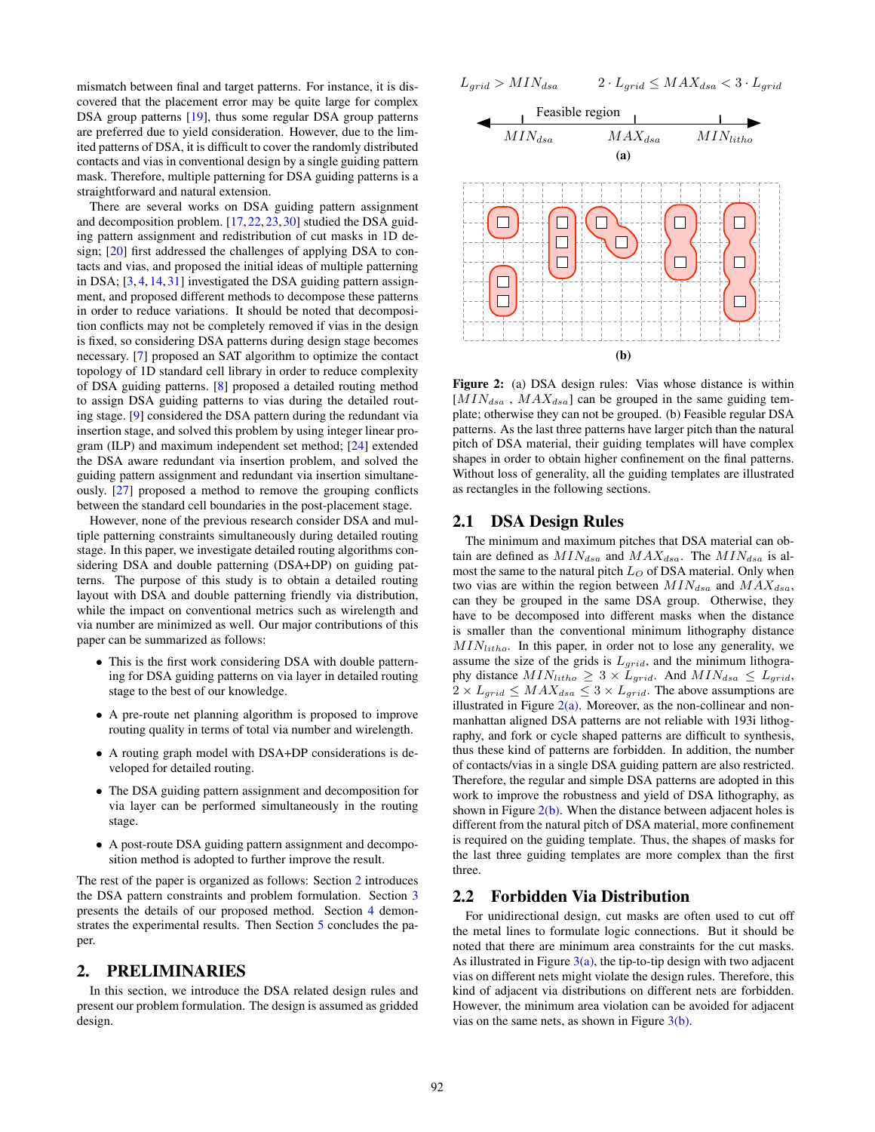mismatch between final and target patterns. For instance, it is discovered that the placement error may be quite large for complex DSA group patterns [\[19\]](#page-7-8), thus some regular DSA group patterns are preferred due to yield consideration. However, due to the limited patterns of DSA, it is difficult to cover the randomly distributed contacts and vias in conventional design by a single guiding pattern mask. Therefore, multiple patterning for DSA guiding patterns is a straightforward and natural extension.

There are several works on DSA guiding pattern assignment and decomposition problem. [\[17,](#page-7-14) [22,](#page-7-15) [23,](#page-7-16) [30\]](#page-7-17) studied the DSA guiding pattern assignment and redistribution of cut masks in 1D design; [\[20\]](#page-7-9) first addressed the challenges of applying DSA to contacts and vias, and proposed the initial ideas of multiple patterning in DSA; [\[3,](#page-6-3) [4,](#page-6-4) [14,](#page-7-18) [31\]](#page-7-19) investigated the DSA guiding pattern assignment, and proposed different methods to decompose these patterns in order to reduce variations. It should be noted that decomposition conflicts may not be completely removed if vias in the design is fixed, so considering DSA patterns during design stage becomes necessary. [\[7\]](#page-6-5) proposed an SAT algorithm to optimize the contact topology of 1D standard cell library in order to reduce complexity of DSA guiding patterns. [\[8\]](#page-6-6) proposed a detailed routing method to assign DSA guiding patterns to vias during the detailed routing stage. [\[9\]](#page-6-7) considered the DSA pattern during the redundant via insertion stage, and solved this problem by using integer linear program (ILP) and maximum independent set method; [\[24\]](#page-7-20) extended the DSA aware redundant via insertion problem, and solved the guiding pattern assignment and redundant via insertion simultaneously. [\[27\]](#page-7-21) proposed a method to remove the grouping conflicts between the standard cell boundaries in the post-placement stage.

However, none of the previous research consider DSA and multiple patterning constraints simultaneously during detailed routing stage. In this paper, we investigate detailed routing algorithms considering DSA and double patterning (DSA+DP) on guiding patterns. The purpose of this study is to obtain a detailed routing layout with DSA and double patterning friendly via distribution, while the impact on conventional metrics such as wirelength and via number are minimized as well. Our major contributions of this paper can be summarized as follows:

- This is the first work considering DSA with double patterning for DSA guiding patterns on via layer in detailed routing stage to the best of our knowledge.
- A pre-route net planning algorithm is proposed to improve routing quality in terms of total via number and wirelength.
- A routing graph model with DSA+DP considerations is developed for detailed routing.
- The DSA guiding pattern assignment and decomposition for via layer can be performed simultaneously in the routing stage.
- A post-route DSA guiding pattern assignment and decomposition method is adopted to further improve the result.

The rest of the paper is organized as follows: Section [2](#page-1-0) introduces the DSA pattern constraints and problem formulation. Section [3](#page-2-0) presents the details of our proposed method. Section [4](#page-6-8) demonstrates the experimental results. Then Section [5](#page-6-9) concludes the paper.

# <span id="page-1-0"></span>2. PRELIMINARIES

In this section, we introduce the DSA related design rules and present our problem formulation. The design is assumed as gridded design.

<span id="page-1-1"></span>
$$
L_{grid} > MIN_{dsa} \qquad \quad 2 \cdot L_{grid} \le MAX_{dsa} < 3 \cdot L_{grid}
$$

<span id="page-1-2"></span>

Figure 2: (a) DSA design rules: Vias whose distance is within  $[MIN<sub>dasa</sub>$ ,  $MAX<sub>dasa</sub>]$  can be grouped in the same guiding template; otherwise they can not be grouped. (b) Feasible regular DSA patterns. As the last three patterns have larger pitch than the natural pitch of DSA material, their guiding templates will have complex shapes in order to obtain higher confinement on the final patterns. Without loss of generality, all the guiding templates are illustrated as rectangles in the following sections.

# 2.1 DSA Design Rules

The minimum and maximum pitches that DSA material can obtain are defined as  $MIN_{dsa}$  and  $MAX_{dsa}$ . The  $MIN_{dsa}$  is almost the same to the natural pitch  $L<sub>O</sub>$  of DSA material. Only when two vias are within the region between  $MIN_{dsa}$  and  $MAX_{dsa}$ , can they be grouped in the same DSA group. Otherwise, they have to be decomposed into different masks when the distance is smaller than the conventional minimum lithography distance  $MIN_{litho}$ . In this paper, in order not to lose any generality, we assume the size of the grids is  $L_{grid}$ , and the minimum lithography distance  $MIN_{litho} \geq 3 \times L_{grid}$ . And  $MIN_{dsa} \leq L_{grid}$ ,  $2 \times L_{grid} \leq MAX_{dsa} \leq 3 \times L_{grid}$ . The above assumptions are illustrated in Figure  $2(a)$ . Moreover, as the non-collinear and nonmanhattan aligned DSA patterns are not reliable with 193i lithography, and fork or cycle shaped patterns are difficult to synthesis, thus these kind of patterns are forbidden. In addition, the number of contacts/vias in a single DSA guiding pattern are also restricted. Therefore, the regular and simple DSA patterns are adopted in this work to improve the robustness and yield of DSA lithography, as shown in Figure  $2(b)$ . When the distance between adjacent holes is different from the natural pitch of DSA material, more confinement is required on the guiding template. Thus, the shapes of masks for the last three guiding templates are more complex than the first three.

## 2.2 Forbidden Via Distribution

For unidirectional design, cut masks are often used to cut off the metal lines to formulate logic connections. But it should be noted that there are minimum area constraints for the cut masks. As illustrated in Figure  $3(a)$ , the tip-to-tip design with two adjacent vias on different nets might violate the design rules. Therefore, this kind of adjacent via distributions on different nets are forbidden. However, the minimum area violation can be avoided for adjacent vias on the same nets, as shown in Figure  $3(b)$ .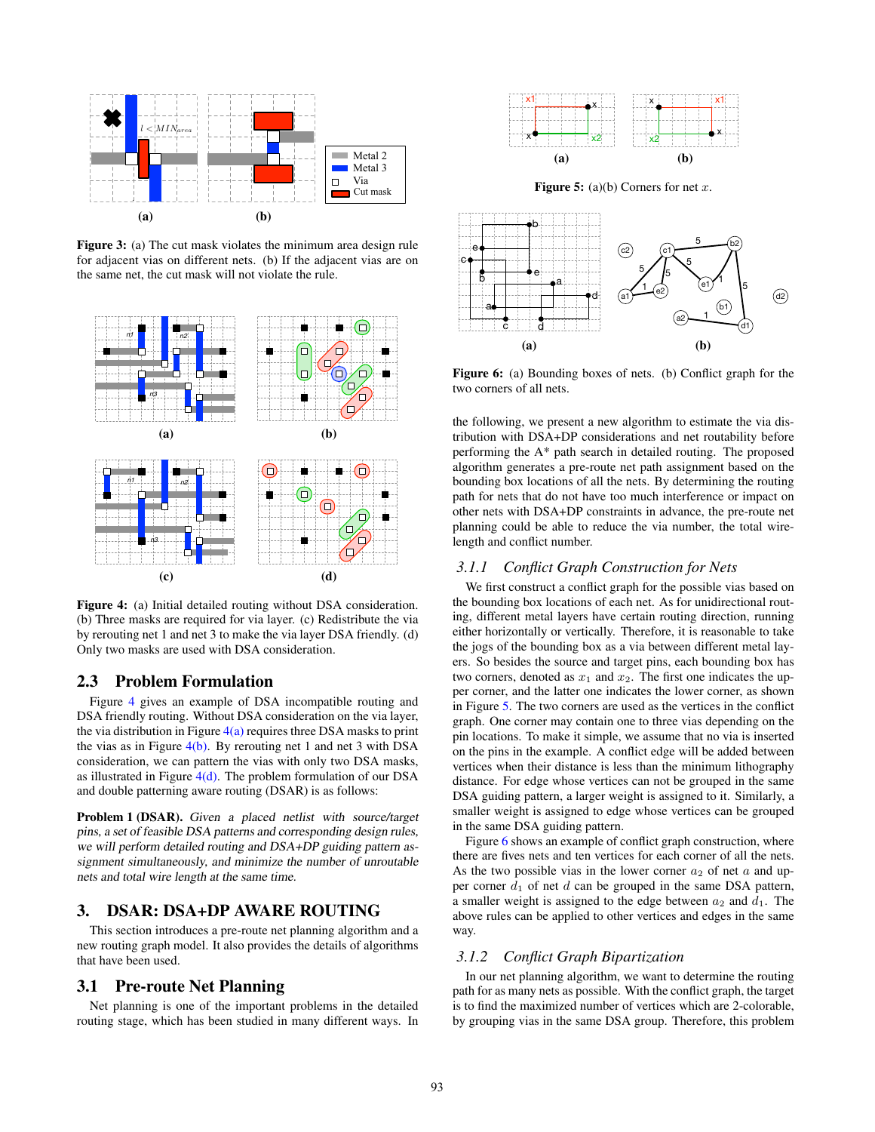<span id="page-2-1"></span>

<span id="page-2-2"></span>Figure 3: (a) The cut mask violates the minimum area design rule for adjacent vias on different nets. (b) If the adjacent vias are on the same net, the cut mask will not violate the rule.

<span id="page-2-4"></span><span id="page-2-3"></span>

<span id="page-2-6"></span>Figure 4: (a) Initial detailed routing without DSA consideration. (b) Three masks are required for via layer. (c) Redistribute the via by rerouting net 1 and net 3 to make the via layer DSA friendly. (d) Only two masks are used with DSA consideration.

# 2.3 Problem Formulation

Figure [4](#page-2-3) gives an example of DSA incompatible routing and DSA friendly routing. Without DSA consideration on the via layer, the via distribution in Figure  $4(a)$  requires three DSA masks to print the vias as in Figure  $4(b)$ . By rerouting net 1 and net 3 with DSA consideration, we can pattern the vias with only two DSA masks, as illustrated in Figure  $4(d)$ . The problem formulation of our DSA and double patterning aware routing (DSAR) is as follows:

Problem 1 (DSAR). Given a placed netlist with source/target pins, a set of feasible DSA patterns and corresponding design rules, we will perform detailed routing and DSA+DP guiding pattern assignment simultaneously, and minimize the number of unroutable nets and total wire length at the same time.

# <span id="page-2-0"></span>3. DSAR: DSA+DP AWARE ROUTING

This section introduces a pre-route net planning algorithm and a new routing graph model. It also provides the details of algorithms that have been used.

# 3.1 Pre-route Net Planning

Net planning is one of the important problems in the detailed routing stage, which has been studied in many different ways. In

<span id="page-2-7"></span>

**Figure 5:** (a)(b) Corners for net  $x$ .

<span id="page-2-8"></span>

Figure 6: (a) Bounding boxes of nets. (b) Conflict graph for the two corners of all nets.

<span id="page-2-5"></span>the following, we present a new algorithm to estimate the via distribution with DSA+DP considerations and net routability before performing the A\* path search in detailed routing. The proposed algorithm generates a pre-route net path assignment based on the bounding box locations of all the nets. By determining the routing path for nets that do not have too much interference or impact on other nets with DSA+DP constraints in advance, the pre-route net planning could be able to reduce the via number, the total wirelength and conflict number.

#### *3.1.1 Conflict Graph Construction for Nets*

We first construct a conflict graph for the possible vias based on the bounding box locations of each net. As for unidirectional routing, different metal layers have certain routing direction, running either horizontally or vertically. Therefore, it is reasonable to take the jogs of the bounding box as a via between different metal layers. So besides the source and target pins, each bounding box has two corners, denoted as  $x_1$  and  $x_2$ . The first one indicates the upper corner, and the latter one indicates the lower corner, as shown in Figure [5.](#page-2-7) The two corners are used as the vertices in the conflict graph. One corner may contain one to three vias depending on the pin locations. To make it simple, we assume that no via is inserted on the pins in the example. A conflict edge will be added between vertices when their distance is less than the minimum lithography distance. For edge whose vertices can not be grouped in the same DSA guiding pattern, a larger weight is assigned to it. Similarly, a smaller weight is assigned to edge whose vertices can be grouped in the same DSA guiding pattern.

Figure [6](#page-2-8) shows an example of conflict graph construction, where there are fives nets and ten vertices for each corner of all the nets. As the two possible vias in the lower corner  $a_2$  of net a and upper corner  $d_1$  of net d can be grouped in the same DSA pattern, a smaller weight is assigned to the edge between  $a_2$  and  $d_1$ . The above rules can be applied to other vertices and edges in the same way.

### *3.1.2 Conflict Graph Bipartization*

In our net planning algorithm, we want to determine the routing path for as many nets as possible. With the conflict graph, the target is to find the maximized number of vertices which are 2-colorable, by grouping vias in the same DSA group. Therefore, this problem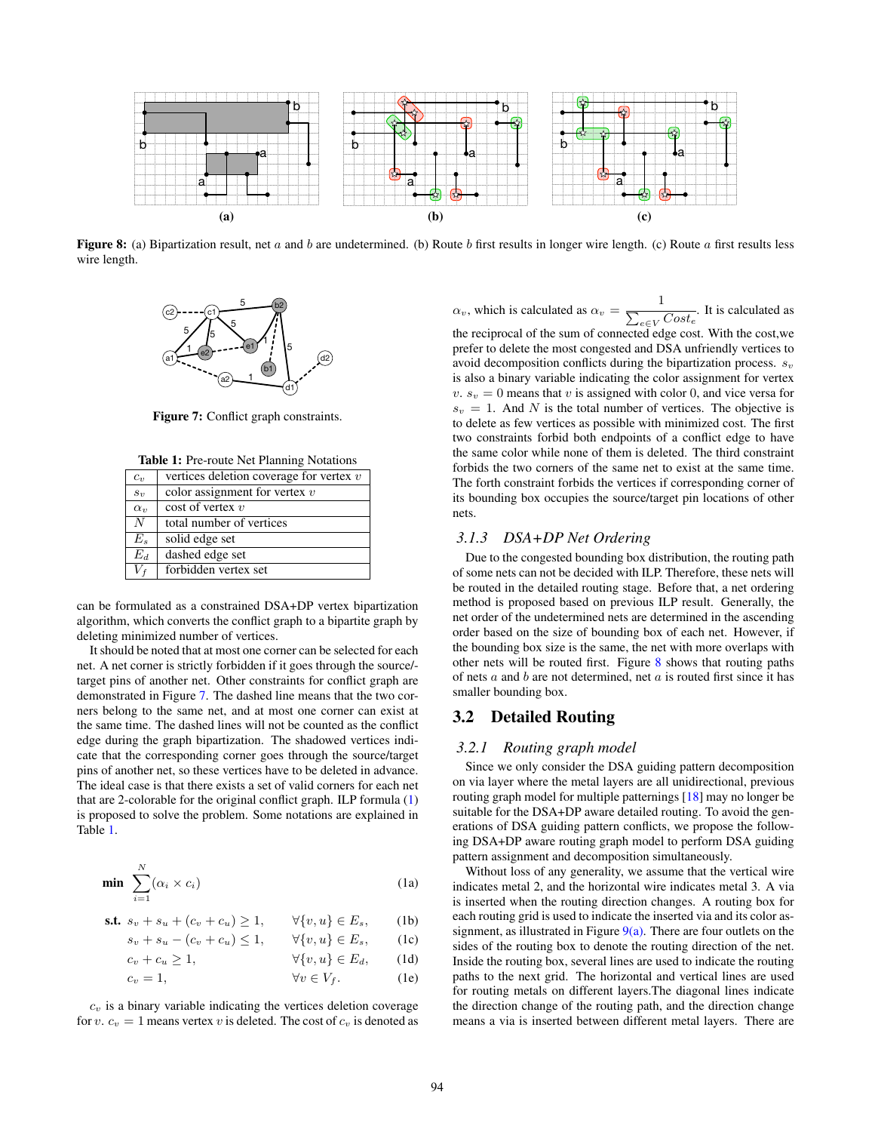<span id="page-3-3"></span>

<span id="page-3-0"></span>Figure 8: (a) Bipartization result, net a and b are undetermined. (b) Route b first results in longer wire length. (c) Route a first results less wire length.



Figure 7: Conflict graph constraints.

<span id="page-3-2"></span>

| vertices deletion coverage for vertex $v$ |
|-------------------------------------------|
| color assignment for vertex $v$           |
| $\cos t$ of vertex $v$                    |
| total number of vertices                  |
| solid edge set                            |
| dashed edge set                           |
| forbidden vertex set                      |
|                                           |

can be formulated as a constrained DSA+DP vertex bipartization algorithm, which converts the conflict graph to a bipartite graph by deleting minimized number of vertices.

It should be noted that at most one corner can be selected for each net. A net corner is strictly forbidden if it goes through the source/ target pins of another net. Other constraints for conflict graph are demonstrated in Figure [7.](#page-3-0) The dashed line means that the two corners belong to the same net, and at most one corner can exist at the same time. The dashed lines will not be counted as the conflict edge during the graph bipartization. The shadowed vertices indicate that the corresponding corner goes through the source/target pins of another net, so these vertices have to be deleted in advance. The ideal case is that there exists a set of valid corners for each net that are 2-colorable for the original conflict graph. ILP formula [\(1\)](#page-3-1) is proposed to solve the problem. Some notations are explained in Table [1.](#page-3-2)

<span id="page-3-1"></span>
$$
\min \sum_{i=1}^{N} (\alpha_i \times c_i) \tag{1a}
$$

s.t.  $s_v + s_u + (c_v + c_u) \ge 1$ ,  $\forall \{v, u\} \in E_s$ , (1b)

 $s_v + s_u - (c_v + c_u) \le 1, \quad \forall \{v, u\} \in E_s,$  (1c)

 $c_v + c_u \ge 1, \qquad \forall \{v, u\} \in E_d, \qquad (1d)$ 

$$
c_v = 1, \qquad \qquad \forall v \in V_f. \qquad (1e)
$$

 $c_v$  is a binary variable indicating the vertices deletion coverage for v.  $c_v = 1$  means vertex v is deleted. The cost of  $c_v$  is denoted as  $\alpha_v$ , which is calculated as  $\alpha_v = \frac{1}{\sqrt{2\pi}}$  $\sum_{e \in V} Cost_e$ . It is calculated as

the reciprocal of the sum of connected edge cost. With the cost,we prefer to delete the most congested and DSA unfriendly vertices to avoid decomposition conflicts during the bipartization process.  $s_v$ is also a binary variable indicating the color assignment for vertex v.  $s_v = 0$  means that v is assigned with color 0, and vice versa for  $s_v = 1$ . And N is the total number of vertices. The objective is to delete as few vertices as possible with minimized cost. The first two constraints forbid both endpoints of a conflict edge to have the same color while none of them is deleted. The third constraint forbids the two corners of the same net to exist at the same time. The forth constraint forbids the vertices if corresponding corner of its bounding box occupies the source/target pin locations of other nets.

### *3.1.3 DSA+DP Net Ordering*

Due to the congested bounding box distribution, the routing path of some nets can not be decided with ILP. Therefore, these nets will be routed in the detailed routing stage. Before that, a net ordering method is proposed based on previous ILP result. Generally, the net order of the undetermined nets are determined in the ascending order based on the size of bounding box of each net. However, if the bounding box size is the same, the net with more overlaps with other nets will be routed first. Figure [8](#page-3-3) shows that routing paths of nets  $a$  and  $b$  are not determined, net  $a$  is routed first since it has smaller bounding box.

# 3.2 Detailed Routing

#### <span id="page-3-4"></span>*3.2.1 Routing graph model*

Since we only consider the DSA guiding pattern decomposition on via layer where the metal layers are all unidirectional, previous routing graph model for multiple patternings [\[18\]](#page-7-22) may no longer be suitable for the DSA+DP aware detailed routing. To avoid the generations of DSA guiding pattern conflicts, we propose the following DSA+DP aware routing graph model to perform DSA guiding pattern assignment and decomposition simultaneously.

Without loss of any generality, we assume that the vertical wire indicates metal 2, and the horizontal wire indicates metal 3. A via is inserted when the routing direction changes. A routing box for each routing grid is used to indicate the inserted via and its color assignment, as illustrated in Figure  $9(a)$ . There are four outlets on the sides of the routing box to denote the routing direction of the net. Inside the routing box, several lines are used to indicate the routing paths to the next grid. The horizontal and vertical lines are used for routing metals on different layers.The diagonal lines indicate the direction change of the routing path, and the direction change means a via is inserted between different metal layers. There are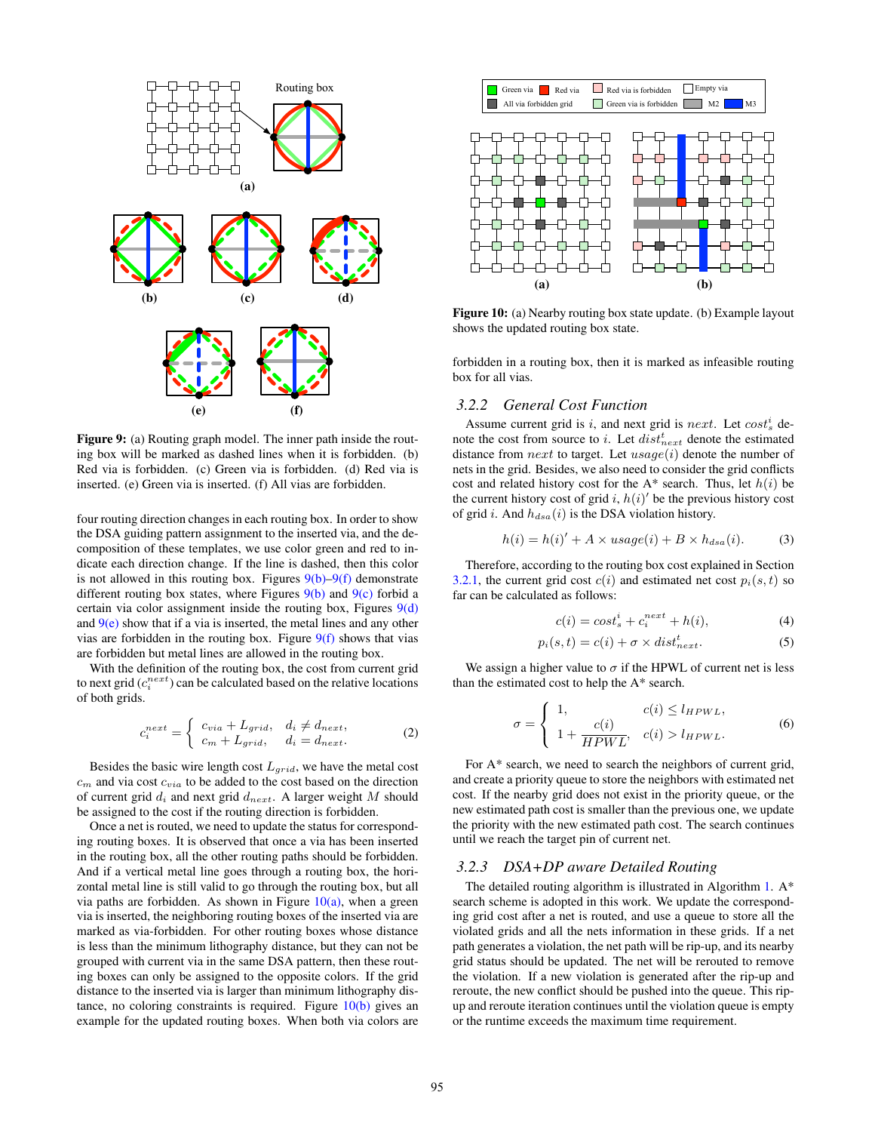<span id="page-4-1"></span><span id="page-4-0"></span>

<span id="page-4-5"></span><span id="page-4-3"></span><span id="page-4-2"></span>Figure 9: (a) Routing graph model. The inner path inside the routing box will be marked as dashed lines when it is forbidden. (b) Red via is forbidden. (c) Green via is forbidden. (d) Red via is inserted. (e) Green via is inserted. (f) All vias are forbidden.

four routing direction changes in each routing box. In order to show the DSA guiding pattern assignment to the inserted via, and the decomposition of these templates, we use color green and red to indicate each direction change. If the line is dashed, then this color is not allowed in this routing box. Figures  $9(b)-9(f)$  $9(b)-9(f)$  demonstrate different routing box states, where Figures  $9(b)$  and  $9(c)$  forbid a certain via color assignment inside the routing box, Figures  $9(d)$ and  $9(e)$  show that if a via is inserted, the metal lines and any other vias are forbidden in the routing box. Figure  $9(f)$  shows that vias are forbidden but metal lines are allowed in the routing box.

With the definition of the routing box, the cost from current grid to next grid  $(c_i^{next})$  can be calculated based on the relative locations of both grids.

$$
c_i^{next} = \begin{cases} c_{via} + L_{grid}, & d_i \neq d_{next}, \\ c_m + L_{grid}, & d_i = d_{next}. \end{cases}
$$
 (2)

Besides the basic wire length cost  $L_{grid}$ , we have the metal cost  $c<sub>m</sub>$  and via cost  $c<sub>via</sub>$  to be added to the cost based on the direction of current grid  $d_i$  and next grid  $d_{next}$ . A larger weight M should be assigned to the cost if the routing direction is forbidden.

Once a net is routed, we need to update the status for corresponding routing boxes. It is observed that once a via has been inserted in the routing box, all the other routing paths should be forbidden. And if a vertical metal line goes through a routing box, the horizontal metal line is still valid to go through the routing box, but all via paths are forbidden. As shown in Figure  $10(a)$ , when a green via is inserted, the neighboring routing boxes of the inserted via are marked as via-forbidden. For other routing boxes whose distance is less than the minimum lithography distance, but they can not be grouped with current via in the same DSA pattern, then these routing boxes can only be assigned to the opposite colors. If the grid distance to the inserted via is larger than minimum lithography distance, no coloring constraints is required. Figure  $10(b)$  gives an example for the updated routing boxes. When both via colors are

<span id="page-4-6"></span>

<span id="page-4-7"></span><span id="page-4-4"></span>Figure 10: (a) Nearby routing box state update. (b) Example layout shows the updated routing box state.

forbidden in a routing box, then it is marked as infeasible routing box for all vias.

## *3.2.2 General Cost Function*

Assume current grid is i, and next grid is next. Let  $cost<sub>s</sub><sup>i</sup>$  denote the cost from source to i. Let  $dist_{next}^t$  denote the estimated distance from  $next$  to target. Let  $usage(i)$  denote the number of nets in the grid. Besides, we also need to consider the grid conflicts cost and related history cost for the A\* search. Thus, let  $h(i)$  be the current history cost of grid i,  $h(i)$  be the previous history cost of grid i. And  $h_{dsa}(i)$  is the DSA violation history.

$$
h(i) = h(i)' + A \times usage(i) + B \times h_{dsa}(i).
$$
 (3)

Therefore, according to the routing box cost explained in Section [3.2.1,](#page-3-4) the current grid cost  $c(i)$  and estimated net cost  $p_i(s, t)$  so far can be calculated as follows:

<span id="page-4-8"></span>
$$
c(i) = cost_s^i + c_i^{next} + h(i),\tag{4}
$$

$$
p_i(s,t) = c(i) + \sigma \times dist_{next}^t.
$$
 (5)

We assign a higher value to  $\sigma$  if the HPWL of current net is less than the estimated cost to help the A\* search.

$$
\sigma = \begin{cases}\n1, & c(i) \leq l_{HPWL}, \\
1 + \frac{c(i)}{HPWL}, & c(i) > l_{HPWL}.\n\end{cases}
$$
\n(6)

For A\* search, we need to search the neighbors of current grid, and create a priority queue to store the neighbors with estimated net cost. If the nearby grid does not exist in the priority queue, or the new estimated path cost is smaller than the previous one, we update the priority with the new estimated path cost. The search continues until we reach the target pin of current net.

#### *3.2.3 DSA+DP aware Detailed Routing*

The detailed routing algorithm is illustrated in Algorithm [1.](#page-5-0) A\* search scheme is adopted in this work. We update the corresponding grid cost after a net is routed, and use a queue to store all the violated grids and all the nets information in these grids. If a net path generates a violation, the net path will be rip-up, and its nearby grid status should be updated. The net will be rerouted to remove the violation. If a new violation is generated after the rip-up and reroute, the new conflict should be pushed into the queue. This ripup and reroute iteration continues until the violation queue is empty or the runtime exceeds the maximum time requirement.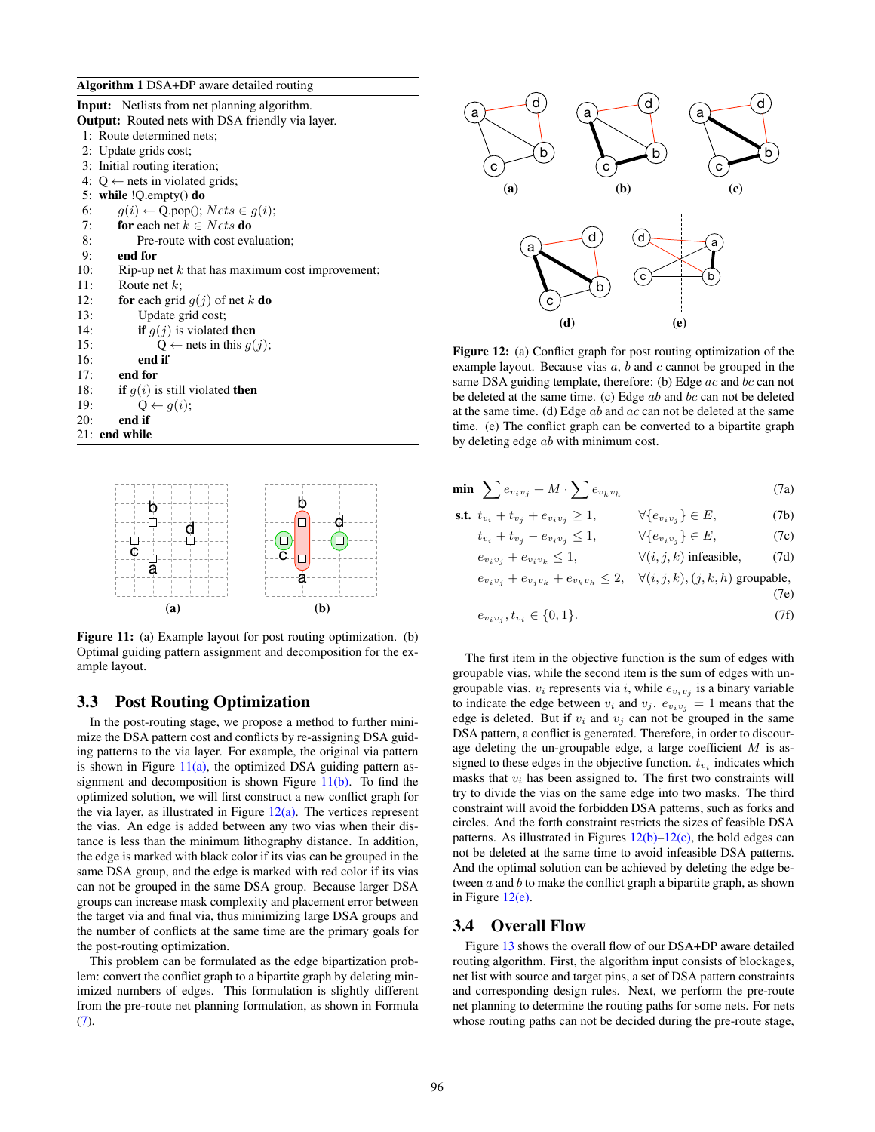#### <span id="page-5-0"></span>Algorithm 1 DSA+DP aware detailed routing

| Input: Netlists from net planning algorithm.             |  |  |  |  |  |  |  |  |
|----------------------------------------------------------|--|--|--|--|--|--|--|--|
| <b>Output:</b> Routed nets with DSA friendly via layer.  |  |  |  |  |  |  |  |  |
| 1: Route determined nets;                                |  |  |  |  |  |  |  |  |
| 2: Update grids cost;                                    |  |  |  |  |  |  |  |  |
| 3: Initial routing iteration;                            |  |  |  |  |  |  |  |  |
| 4: $Q \leftarrow$ nets in violated grids;                |  |  |  |  |  |  |  |  |
| 5: while $!Q$ . empty() do                               |  |  |  |  |  |  |  |  |
| $q(i) \leftarrow Q.pop(); Nets \in g(i);$<br>6:          |  |  |  |  |  |  |  |  |
| <b>for</b> each net $k \in Nets$ <b>do</b><br>7:         |  |  |  |  |  |  |  |  |
| 8:<br>Pre-route with cost evaluation;                    |  |  |  |  |  |  |  |  |
| $9:$ end for                                             |  |  |  |  |  |  |  |  |
| 10:<br>Rip-up net $k$ that has maximum cost improvement; |  |  |  |  |  |  |  |  |
| Route net $k$ ;<br>11:                                   |  |  |  |  |  |  |  |  |
| <b>for</b> each grid $g(j)$ of net k <b>do</b><br>12:    |  |  |  |  |  |  |  |  |
| 13:<br>Update grid cost;                                 |  |  |  |  |  |  |  |  |
| <b>if</b> $g(j)$ is violated <b>then</b><br>14:          |  |  |  |  |  |  |  |  |
| $Q \leftarrow$ nets in this $q(j)$ ;<br>15:              |  |  |  |  |  |  |  |  |
| 16:<br>end if                                            |  |  |  |  |  |  |  |  |
| 17:<br>end for                                           |  |  |  |  |  |  |  |  |
| 18:<br><b>if</b> $g(i)$ is still violated <b>then</b>    |  |  |  |  |  |  |  |  |
| $Q \leftarrow q(i);$<br>19:                              |  |  |  |  |  |  |  |  |
| end if<br>20:                                            |  |  |  |  |  |  |  |  |
| 21: end while                                            |  |  |  |  |  |  |  |  |

<span id="page-5-1"></span>

<span id="page-5-2"></span>Figure 11: (a) Example layout for post routing optimization. (b) Optimal guiding pattern assignment and decomposition for the example layout.

# 3.3 Post Routing Optimization

In the post-routing stage, we propose a method to further minimize the DSA pattern cost and conflicts by re-assigning DSA guiding patterns to the via layer. For example, the original via pattern is shown in Figure  $11(a)$ , the optimized DSA guiding pattern assignment and decomposition is shown Figure  $11(b)$ . To find the optimized solution, we will first construct a new conflict graph for the via layer, as illustrated in Figure  $12(a)$ . The vertices represent the vias. An edge is added between any two vias when their distance is less than the minimum lithography distance. In addition, the edge is marked with black color if its vias can be grouped in the same DSA group, and the edge is marked with red color if its vias can not be grouped in the same DSA group. Because larger DSA groups can increase mask complexity and placement error between the target via and final via, thus minimizing large DSA groups and the number of conflicts at the same time are the primary goals for the post-routing optimization.

This problem can be formulated as the edge bipartization problem: convert the conflict graph to a bipartite graph by deleting minimized numbers of edges. This formulation is slightly different from the pre-route net planning formulation, as shown in Formula [\(7\)](#page-5-4).

<span id="page-5-6"></span><span id="page-5-5"></span><span id="page-5-3"></span>

<span id="page-5-7"></span>Figure 12: (a) Conflict graph for post routing optimization of the example layout. Because vias  $a, b$  and  $c$  cannot be grouped in the same DSA guiding template, therefore: (b) Edge  $ac$  and  $bc$  can not be deleted at the same time. (c) Edge  $ab$  and  $bc$  can not be deleted at the same time. (d) Edge  $ab$  and  $ac$  can not be deleted at the same time. (e) The conflict graph can be converted to a bipartite graph by deleting edge ab with minimum cost.

<span id="page-5-4"></span>

| min $\sum e_{v_i v_j} + M \cdot \sum e_{v_k v_h}$ |  | (7a) |
|---------------------------------------------------|--|------|
|                                                   |  | (71) |

$$
\begin{aligned}\n\text{s.t. } & t_{v_i} + t_{v_j} + e_{v_i v_j} \ge 1, & \forall \{e_{v_i v_j}\} \in E, & \text{(7b)} \\
& t_{v_i} + t_{v_j} - e_{v_i v_j} \le 1, & \forall \{e_{v_i v_j}\} \in E, & \text{(7c)} \\
& e_{v_i v_j} + e_{v_i v_k} \le 1, & \forall (i, j, k) \text{ infeasible}, & \text{(7d)}\n\end{aligned}
$$

 $e_{v_i v_j} + e_{v_j v_k} + e_{v_k v_h} \leq 2$ ,  $\forall (i, j, k), (j, k, h)$  groupable,

(7e)

$$
e_{v_i v_j}, t_{v_i} \in \{0, 1\}.
$$
\n(7f)

The first item in the objective function is the sum of edges with groupable vias, while the second item is the sum of edges with ungroupable vias.  $v_i$  represents via i, while  $e_{v_i v_j}$  is a binary variable to indicate the edge between  $v_i$  and  $v_j$ .  $e_{v_i v_j} = 1$  means that the edge is deleted. But if  $v_i$  and  $v_j$  can not be grouped in the same DSA pattern, a conflict is generated. Therefore, in order to discourage deleting the un-groupable edge, a large coefficient  $M$  is assigned to these edges in the objective function.  $t_{v_i}$  indicates which masks that  $v_i$  has been assigned to. The first two constraints will try to divide the vias on the same edge into two masks. The third constraint will avoid the forbidden DSA patterns, such as forks and circles. And the forth constraint restricts the sizes of feasible DSA patterns. As illustrated in Figures  $12(b)-12(c)$  $12(b)-12(c)$ , the bold edges can not be deleted at the same time to avoid infeasible DSA patterns. And the optimal solution can be achieved by deleting the edge between  $a$  and  $b$  to make the conflict graph a bipartite graph, as shown in Figure [12\(e\).](#page-5-7)

## 3.4 Overall Flow

Figure [13](#page-6-10) shows the overall flow of our DSA+DP aware detailed routing algorithm. First, the algorithm input consists of blockages, net list with source and target pins, a set of DSA pattern constraints and corresponding design rules. Next, we perform the pre-route net planning to determine the routing paths for some nets. For nets whose routing paths can not be decided during the pre-route stage,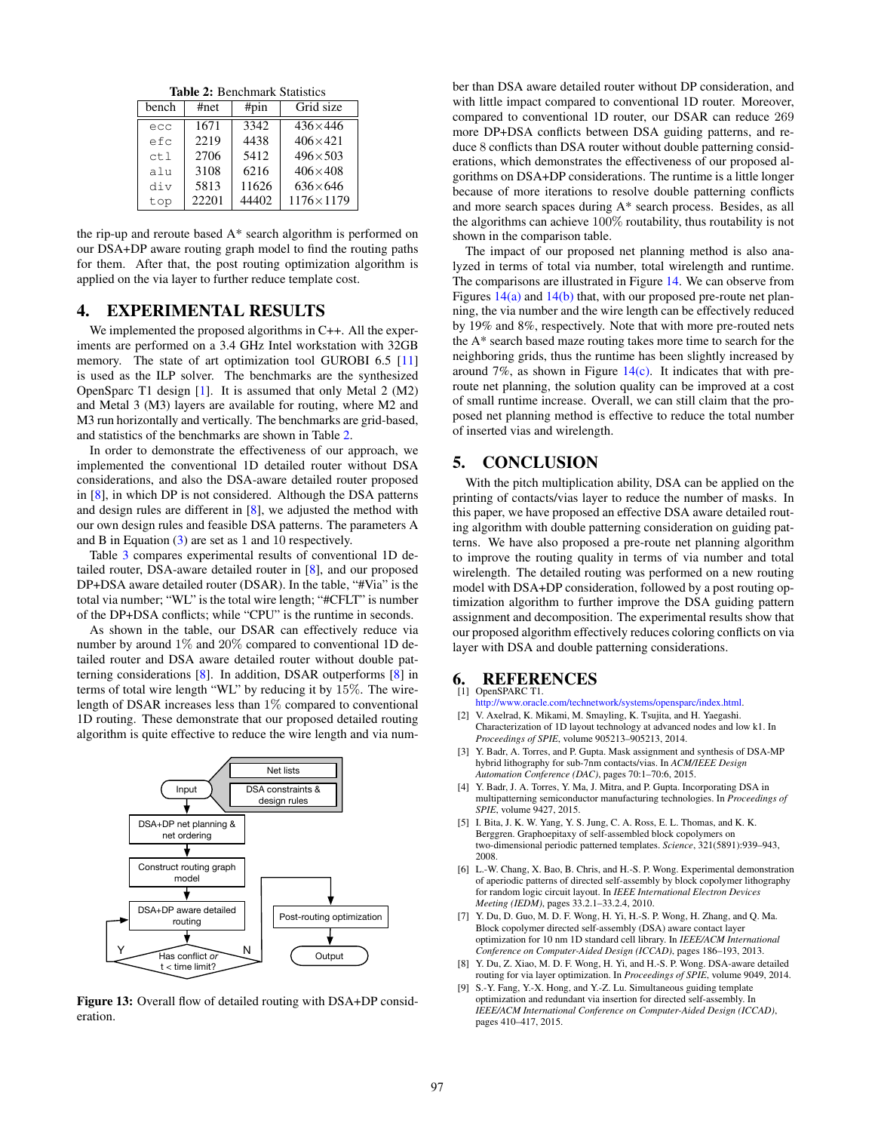Table 2: Benchmark Statistics

<span id="page-6-12"></span>

| bench | #net<br>#pin |       | Grid size        |  |  |
|-------|--------------|-------|------------------|--|--|
| ecc   | 1671         | 3342  | $436\times446$   |  |  |
| efc   | 2219         | 4438  | $406 \times 421$ |  |  |
| ct1   | 2706         | 5412  | $496 \times 503$ |  |  |
| alu   | 3108         | 6216  | $406\times408$   |  |  |
| div   | 5813         | 11626 | $636\times 646$  |  |  |
| top   | 22201        | 44402 | 1176×1179        |  |  |

the rip-up and reroute based A\* search algorithm is performed on our DSA+DP aware routing graph model to find the routing paths for them. After that, the post routing optimization algorithm is applied on the via layer to further reduce template cost.

# <span id="page-6-8"></span>4. EXPERIMENTAL RESULTS

We implemented the proposed algorithms in C++. All the experiments are performed on a 3.4 GHz Intel workstation with 32GB memory. The state of art optimization tool GUROBI 6.5 [\[11\]](#page-7-23) is used as the ILP solver. The benchmarks are the synthesized OpenSparc T1 design [\[1\]](#page-6-11). It is assumed that only Metal 2 (M2) and Metal 3 (M3) layers are available for routing, where M2 and M3 run horizontally and vertically. The benchmarks are grid-based, and statistics of the benchmarks are shown in Table [2.](#page-6-12)

In order to demonstrate the effectiveness of our approach, we implemented the conventional 1D detailed router without DSA considerations, and also the DSA-aware detailed router proposed in [\[8\]](#page-6-6), in which DP is not considered. Although the DSA patterns and design rules are different in [\[8\]](#page-6-6), we adjusted the method with our own design rules and feasible DSA patterns. The parameters A and B in Equation [\(3\)](#page-4-8) are set as 1 and 10 respectively.

Table [3](#page-7-24) compares experimental results of conventional 1D detailed router, DSA-aware detailed router in [\[8\]](#page-6-6), and our proposed DP+DSA aware detailed router (DSAR). In the table, "#Via" is the total via number; "WL" is the total wire length; "#CFLT" is number of the DP+DSA conflicts; while "CPU" is the runtime in seconds.

As shown in the table, our DSAR can effectively reduce via number by around 1% and 20% compared to conventional 1D detailed router and DSA aware detailed router without double patterning considerations [\[8\]](#page-6-6). In addition, DSAR outperforms [\[8\]](#page-6-6) in terms of total wire length "WL" by reducing it by 15%. The wirelength of DSAR increases less than 1% compared to conventional 1D routing. These demonstrate that our proposed detailed routing algorithm is quite effective to reduce the wire length and via num-

<span id="page-6-10"></span>

Figure 13: Overall flow of detailed routing with DSA+DP consideration.

ber than DSA aware detailed router without DP consideration, and with little impact compared to conventional 1D router. Moreover, compared to conventional 1D router, our DSAR can reduce 269 more DP+DSA conflicts between DSA guiding patterns, and reduce 8 conflicts than DSA router without double patterning considerations, which demonstrates the effectiveness of our proposed algorithms on DSA+DP considerations. The runtime is a little longer because of more iterations to resolve double patterning conflicts and more search spaces during A\* search process. Besides, as all the algorithms can achieve 100% routability, thus routability is not shown in the comparison table.

The impact of our proposed net planning method is also analyzed in terms of total via number, total wirelength and runtime. The comparisons are illustrated in Figure [14.](#page-7-25) We can observe from Figures  $14(a)$  and  $14(b)$  that, with our proposed pre-route net planning, the via number and the wire length can be effectively reduced by 19% and 8%, respectively. Note that with more pre-routed nets the A\* search based maze routing takes more time to search for the neighboring grids, thus the runtime has been slightly increased by around 7%, as shown in Figure  $14(c)$ . It indicates that with preroute net planning, the solution quality can be improved at a cost of small runtime increase. Overall, we can still claim that the proposed net planning method is effective to reduce the total number of inserted vias and wirelength.

# <span id="page-6-9"></span>5. CONCLUSION

With the pitch multiplication ability, DSA can be applied on the printing of contacts/vias layer to reduce the number of masks. In this paper, we have proposed an effective DSA aware detailed routing algorithm with double patterning consideration on guiding patterns. We have also proposed a pre-route net planning algorithm to improve the routing quality in terms of via number and total wirelength. The detailed routing was performed on a new routing model with DSA+DP consideration, followed by a post routing optimization algorithm to further improve the DSA guiding pattern assignment and decomposition. The experimental results show that our proposed algorithm effectively reduces coloring conflicts on via layer with DSA and double patterning considerations.

#### <span id="page-6-11"></span>6. REFERENCES OpenSPARC T1.

[http://www.oracle.com/technetwork/systems/opensparc/index.html.](http://www.oracle.com/technetwork/systems/opensparc/index.html)

- <span id="page-6-0"></span>[2] V. Axelrad, K. Mikami, M. Smayling, K. Tsujita, and H. Yaegashi. Characterization of 1D layout technology at advanced nodes and low k1. In *Proceedings of SPIE*, volume 905213–905213, 2014.
- <span id="page-6-3"></span>[3] Y. Badr, A. Torres, and P. Gupta. Mask assignment and synthesis of DSA-MP hybrid lithography for sub-7nm contacts/vias. In *ACM/IEEE Design Automation Conference (DAC)*, pages 70:1–70:6, 2015.
- <span id="page-6-4"></span>[4] Y. Badr, J. A. Torres, Y. Ma, J. Mitra, and P. Gupta. Incorporating DSA in multipatterning semiconductor manufacturing technologies. In *Proceedings of SPIE*, volume 9427, 2015.
- <span id="page-6-1"></span>[5] I. Bita, J. K. W. Yang, Y. S. Jung, C. A. Ross, E. L. Thomas, and K. K. Berggren. Graphoepitaxy of self-assembled block copolymers on two-dimensional periodic patterned templates. *Science*, 321(5891):939–943, 2008.
- <span id="page-6-2"></span>[6] L.-W. Chang, X. Bao, B. Chris, and H.-S. P. Wong. Experimental demonstration of aperiodic patterns of directed self-assembly by block copolymer lithography for random logic circuit layout. In *IEEE International Electron Devices Meeting (IEDM)*, pages 33.2.1–33.2.4, 2010.
- <span id="page-6-5"></span>Y. Du, D. Guo, M. D. F. Wong, H. Yi, H.-S. P. Wong, H. Zhang, and Q. Ma. Block copolymer directed self-assembly (DSA) aware contact layer optimization for 10 nm 1D standard cell library. In *IEEE/ACM International Conference on Computer-Aided Design (ICCAD)*, pages 186–193, 2013.
- <span id="page-6-6"></span>[8] Y. Du, Z. Xiao, M. D. F. Wong, H. Yi, and H.-S. P. Wong. DSA-aware detailed routing for via layer optimization. In *Proceedings of SPIE*, volume 9049, 2014.
- <span id="page-6-7"></span>[9] S.-Y. Fang, Y.-X. Hong, and Y.-Z. Lu. Simultaneous guiding template optimization and redundant via insertion for directed self-assembly. In *IEEE/ACM International Conference on Computer-Aided Design (ICCAD)*, pages 410–417, 2015.